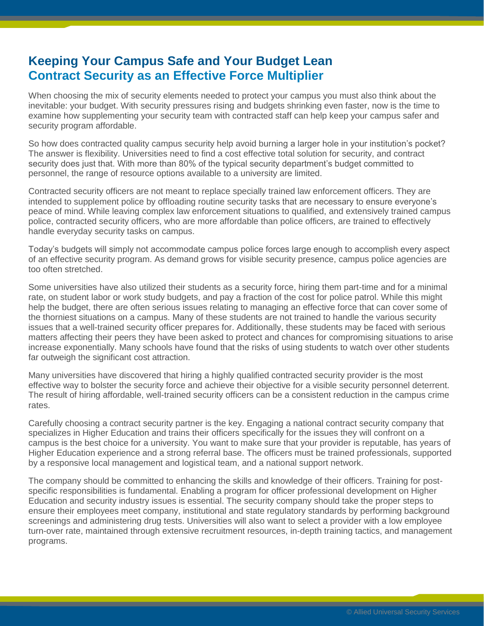## **Keeping Your Campus Safe and Your Budget Lean Contract Security as an Effective Force Multiplier**

When choosing the mix of security elements needed to protect your campus you must also think about the inevitable: your budget. With security pressures rising and budgets shrinking even faster, now is the time to examine how supplementing your security team with contracted staff can help keep your campus safer and security program affordable.

So how does contracted quality campus security help avoid burning a larger hole in your institution's pocket? The answer is flexibility. Universities need to find a cost effective total solution for security, and contract security does just that. With more than 80% of the typical security department's budget committed to personnel, the range of resource options available to a university are limited.

Contracted security officers are not meant to replace specially trained law enforcement officers. They are intended to supplement police by offloading routine security tasks that are necessary to ensure everyone's peace of mind. While leaving complex law enforcement situations to qualified, and extensively trained campus police, contracted security officers, who are more affordable than police officers, are trained to effectively handle everyday security tasks on campus.

Today's budgets will simply not accommodate campus police forces large enough to accomplish every aspect of an effective security program. As demand grows for visible security presence, campus police agencies are too often stretched.

Some universities have also utilized their students as a security force, hiring them part-time and for a minimal rate, on student labor or work study budgets, and pay a fraction of the cost for police patrol. While this might help the budget, there are often serious issues relating to managing an effective force that can cover some of the thorniest situations on a campus. Many of these students are not trained to handle the various security issues that a well-trained security officer prepares for. Additionally, these students may be faced with serious matters affecting their peers they have been asked to protect and chances for compromising situations to arise increase exponentially. Many schools have found that the risks of using students to watch over other students far outweigh the significant cost attraction.

Many universities have discovered that hiring a highly qualified contracted security provider is the most effective way to bolster the security force and achieve their objective for a visible security personnel deterrent. The result of hiring affordable, well-trained security officers can be a consistent reduction in the campus crime rates.

Carefully choosing a contract security partner is the key. Engaging a national contract security company that specializes in Higher Education and trains their officers specifically for the issues they will confront on a campus is the best choice for a university. You want to make sure that your provider is reputable, has years of Higher Education experience and a strong referral base. The officers must be trained professionals, supported by a responsive local management and logistical team, and a national support network.

The company should be committed to enhancing the skills and knowledge of their officers. Training for postspecific responsibilities is fundamental. Enabling a program for officer professional development on Higher Education and security industry issues is essential. The security company should take the proper steps to ensure their employees meet company, institutional and state regulatory standards by performing background screenings and administering drug tests. Universities will also want to select a provider with a low employee turn-over rate, maintained through extensive recruitment resources, in-depth training tactics, and management programs.